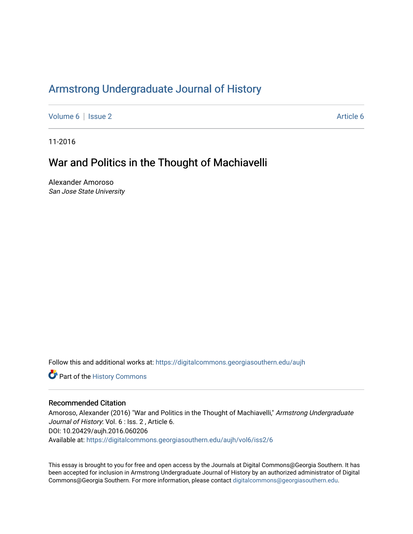## Armstr[ong Undergraduate Journal of Hist](https://digitalcommons.georgiasouthern.edu/aujh)ory

[Volume 6](https://digitalcommons.georgiasouthern.edu/aujh/vol6) | [Issue 2](https://digitalcommons.georgiasouthern.edu/aujh/vol6/iss2) [Article 6](https://digitalcommons.georgiasouthern.edu/aujh/vol6/iss2/6) | Article 6 Article 6 | Article 6 Article 6 | Article 6 | Article 6 | Article 6 |

11-2016

# War and Politics in the Thought of Machiavelli

Alexander Amoroso San Jose State University

Follow this and additional works at: [https://digitalcommons.georgiasouthern.edu/aujh](https://digitalcommons.georgiasouthern.edu/aujh?utm_source=digitalcommons.georgiasouthern.edu%2Faujh%2Fvol6%2Fiss2%2F6&utm_medium=PDF&utm_campaign=PDFCoverPages) 

**P** Part of the History Commons

#### Recommended Citation

Amoroso, Alexander (2016) "War and Politics in the Thought of Machiavelli," Armstrong Undergraduate Journal of History: Vol. 6 : Iss. 2, Article 6. DOI: 10.20429/aujh.2016.060206 Available at: [https://digitalcommons.georgiasouthern.edu/aujh/vol6/iss2/6](https://digitalcommons.georgiasouthern.edu/aujh/vol6/iss2/6?utm_source=digitalcommons.georgiasouthern.edu%2Faujh%2Fvol6%2Fiss2%2F6&utm_medium=PDF&utm_campaign=PDFCoverPages) 

This essay is brought to you for free and open access by the Journals at Digital Commons@Georgia Southern. It has been accepted for inclusion in Armstrong Undergraduate Journal of History by an authorized administrator of Digital Commons@Georgia Southern. For more information, please contact [digitalcommons@georgiasouthern.edu](mailto:digitalcommons@georgiasouthern.edu).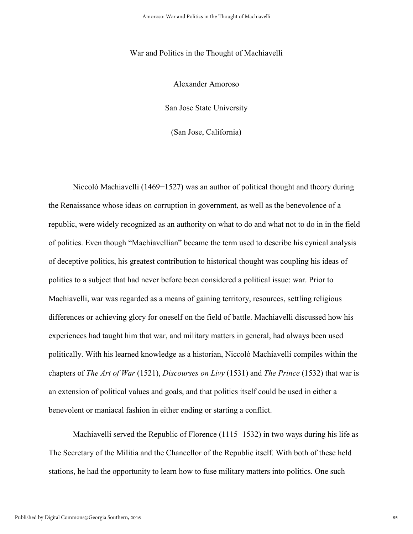#### War and Politics in the Thought of Machiavelli

Alexander Amoroso

San Jose State University

(San Jose, California)

Niccolò Machiavelli (1469–1527) was an author of political thought and theory during the Renaissance whose ideas on corruption in government, as well as the benevolence of a republic, were widely recognized as an authority on what to do and what not to do in in the field of politics. Even though "Machiavellian" became the term used to describe his cynical analysis of deceptive politics, his greatest contribution to historical thought was coupling his ideas of politics to a subject that had never before been considered a political issue: war. Prior to Machiavelli, war was regarded as a means of gaining territory, resources, settling religious differences or achieving glory for oneself on the field of battle. Machiavelli discussed how his experiences had taught him that war, and military matters in general, had always been used politically. With his learned knowledge as a historian, Niccolò Machiavelli compiles within the chapters of *The Art of War* (1521), *Discourses on Livy* (1531) and *The Prince* (1532) that war is an extension of political values and goals, and that politics itself could be used in either a benevolent or maniacal fashion in either ending or starting a conflict.

Machiavelli served the Republic of Florence (1115–1532) in two ways during his life as The Secretary of the Militia and the Chancellor of the Republic itself. With both of these held stations, he had the opportunity to learn how to fuse military matters into politics. One such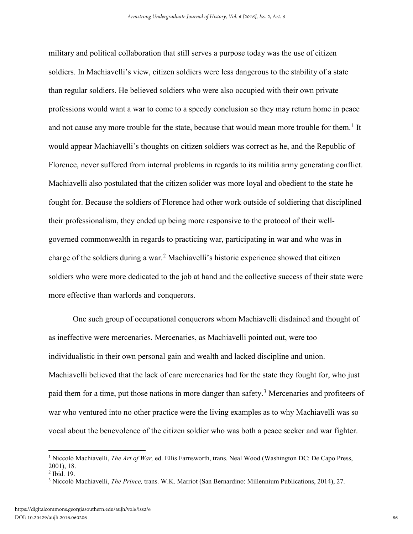military and political collaboration that still serves a purpose today was the use of citizen soldiers. In Machiavelli's view, citizen soldiers were less dangerous to the stability of a state than regular soldiers. He believed soldiers who were also occupied with their own private professions would want a war to come to a speedy conclusion so they may return home in peace and not cause any more trouble for the state, because that would mean more trouble for them.<sup>[1](#page-2-0)</sup> It would appear Machiavelli's thoughts on citizen soldiers was correct as he, and the Republic of Florence, never suffered from internal problems in regards to its militia army generating conflict. Machiavelli also postulated that the citizen solider was more loyal and obedient to the state he fought for. Because the soldiers of Florence had other work outside of soldiering that disciplined their professionalism, they ended up being more responsive to the protocol of their wellgoverned commonwealth in regards to practicing war, participating in war and who was in charge of the soldiers during a war.<sup>[2](#page-2-1)</sup> Machiavelli's historic experience showed that citizen soldiers who were more dedicated to the job at hand and the collective success of their state were more effective than warlords and conquerors.

One such group of occupational conquerors whom Machiavelli disdained and thought of as ineffective were mercenaries. Mercenaries, as Machiavelli pointed out, were too individualistic in their own personal gain and wealth and lacked discipline and union. Machiavelli believed that the lack of care mercenaries had for the state they fought for, who just paid them for a time, put those nations in more danger than safety.<sup>[3](#page-3-0)</sup> Mercenaries and profiteers of war who ventured into no other practice were the living examples as to why Machiavelli was so vocal about the benevolence of the citizen soldier who was both a peace seeker and war fighter.

<span id="page-2-0"></span><sup>&</sup>lt;sup>1</sup> Niccolò Machiavelli, *The Art of War*, ed. Ellis Farnsworth, trans. Neal Wood (Washington DC: De Capo Press, 2001), 18.<br><sup>2</sup> Ibid. 19.

<span id="page-2-1"></span>

<sup>3</sup> Niccolò Machiavelli, *The Prince,* trans. W.K. Marriot (San Bernardino: Millennium Publications, 2014), 27.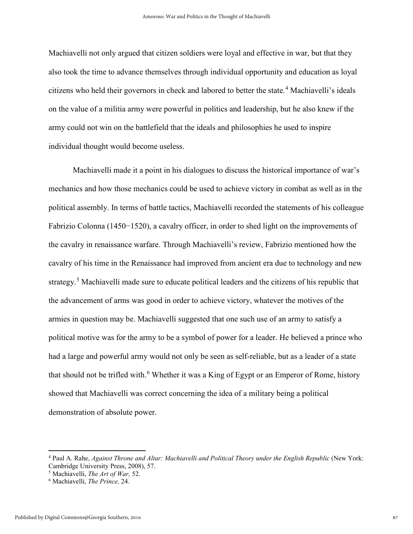Machiavelli not only argued that citizen soldiers were loyal and effective in war, but that they also took the time to advance themselves through individual opportunity and education as loyal citizens who held their governors in check and labored to better the state.<sup>[4](#page-3-1)</sup> Machiavelli's ideals on the value of a militia army were powerful in politics and leadership, but he also knew if the army could not win on the battlefield that the ideals and philosophies he used to inspire individual thought would become useless.

Machiavelli made it a point in his dialogues to discuss the historical importance of war's mechanics and how those mechanics could be used to achieve victory in combat as well as in the political assembly. In terms of battle tactics, Machiavelli recorded the statements of his colleague Fabrizio Colonna (1450−1520), a cavalry officer, in order to shed light on the improvements of the cavalry in renaissance warfare. Through Machiavelli's review, Fabrizio mentioned how the cavalry of his time in the Renaissance had improved from ancient era due to technology and new strategy.<sup>[5](#page-3-2)</sup> Machiavelli made sure to educate political leaders and the citizens of his republic that the advancement of arms was good in order to achieve victory, whatever the motives of the armies in question may be. Machiavelli suggested that one such use of an army to satisfy a political motive was for the army to be a symbol of power for a leader. He believed a prince who had a large and powerful army would not only be seen as self-reliable, but as a leader of a state that should not be trifled with.<sup>[6](#page-4-0)</sup> Whether it was a King of Egypt or an Emperor of Rome, history showed that Machiavelli was correct concerning the idea of a military being a political demonstration of absolute power.

<span id="page-3-1"></span><span id="page-3-0"></span><sup>4</sup> Paul A. Rahe, *Against Throne and Altar: Machiavelli and Political Theory under the English Republic* (New York: Cambridge University Press, 2008), 57. 5 Machiavelli, *The Art of War,* 52.

<span id="page-3-2"></span>

<sup>6</sup> Machiavelli, *The Prince,* 24.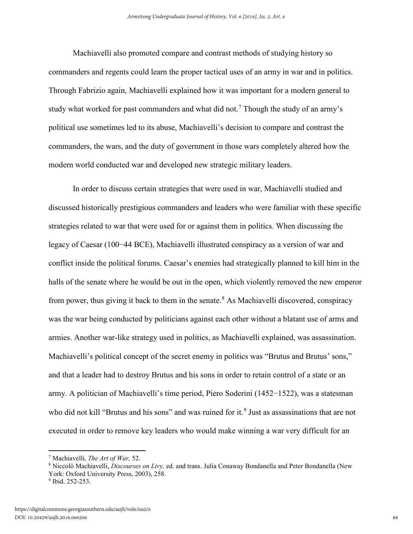Machiavelli also promoted compare and contrast methods of studying history so commanders and regents could learn the proper tactical uses of an army in war and in politics. Through Fabrizio again, Machiavelli explained how it was important for a modern general to study what worked for past commanders and what did not.<sup>[7](#page-4-1)</sup> Though the study of an army's political use sometimes led to its abuse, Machiavelli's decision to compare and contrast the commanders, the wars, and the duty of government in those wars completely altered how the modern world conducted war and developed new strategic military leaders.

In order to discuss certain strategies that were used in war, Machiavelli studied and discussed historically prestigious commanders and leaders who were familiar with these specific strategies related to war that were used for or against them in politics. When discussing the legacy of Caesar (100−44 BCE), Machiavelli illustrated conspiracy as a version of war and conflict inside the political forums. Caesar's enemies had strategically planned to kill him in the halls of the senate where he would be out in the open, which violently removed the new emperor from power, thus giving it back to them in the senate.<sup>[8](#page-4-2)</sup> As Machiavelli discovered, conspiracy was the war being conducted by politicians against each other without a blatant use of arms and armies. Another war-like strategy used in politics, as Machiavelli explained, was assassination. Machiavelli's political concept of the secret enemy in politics was "Brutus and Brutus' sons," and that a leader had to destroy Brutus and his sons in order to retain control of a state or an army. A politician of Machiavelli's time period, Piero Soderini (1452−1522), was a statesman who did not kill "Brutus and his sons" and was ruined for it.<sup>[9](#page-5-0)</sup> Just as assassinations that are not executed in order to remove key leaders who would make winning a war very difficult for an

<span id="page-4-2"></span><span id="page-4-1"></span><span id="page-4-0"></span><sup>7</sup> Machiavelli, *The Art of War,* 52.

<sup>8</sup> Niccolò Machiavelli, *Discourses on Livy,* ed. and trans. Julia Conaway Bondanella and Peter Bondanella (New York: Oxford University Press, 2003), 258.

<sup>9</sup> Ibid. 252-253.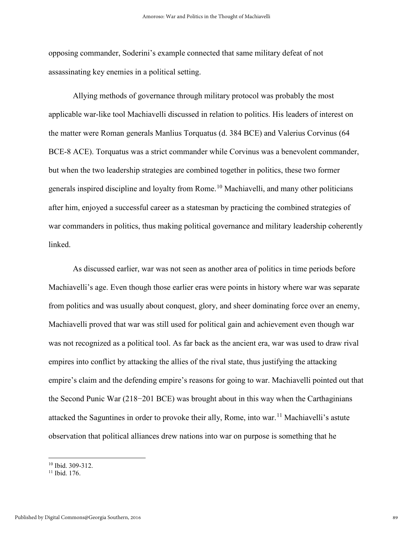opposing commander, Soderini's example connected that same military defeat of not assassinating key enemies in a political setting.

Allying methods of governance through military protocol was probably the most applicable war-like tool Machiavelli discussed in relation to politics. His leaders of interest on the matter were Roman generals Manlius Torquatus (d. 384 BCE) and Valerius Corvinus (64 BCE-8 ACE). Torquatus was a strict commander while Corvinus was a benevolent commander, but when the two leadership strategies are combined together in politics, these two former generals inspired discipline and loyalty from Rome.<sup>[10](#page-5-1)</sup> Machiavelli, and many other politicians after him, enjoyed a successful career as a statesman by practicing the combined strategies of war commanders in politics, thus making political governance and military leadership coherently linked.

As discussed earlier, war was not seen as another area of politics in time periods before Machiavelli's age. Even though those earlier eras were points in history where war was separate from politics and was usually about conquest, glory, and sheer dominating force over an enemy, Machiavelli proved that war was still used for political gain and achievement even though war was not recognized as a political tool. As far back as the ancient era, war was used to draw rival empires into conflict by attacking the allies of the rival state, thus justifying the attacking empire's claim and the defending empire's reasons for going to war. Machiavelli pointed out that the Second Punic War (218−201 BCE) was brought about in this way when the Carthaginians attacked the Saguntines in order to provoke their ally, Rome, into war.<sup>[11](#page-6-0)</sup> Machiavelli's astute observation that political alliances drew nations into war on purpose is something that he

<span id="page-5-0"></span> $10$  Ibid. 309-312.

<span id="page-5-1"></span>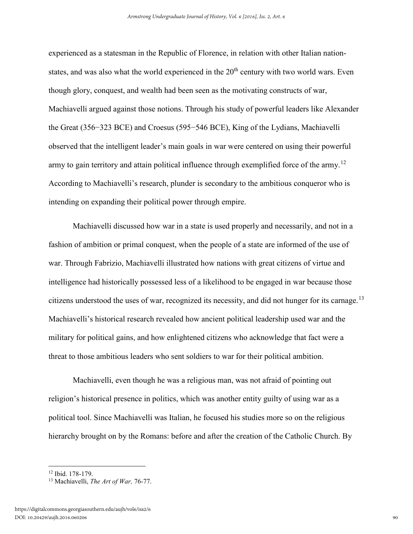experienced as a statesman in the Republic of Florence, in relation with other Italian nationstates, and was also what the world experienced in the  $20<sup>th</sup>$  century with two world wars. Even though glory, conquest, and wealth had been seen as the motivating constructs of war, Machiavelli argued against those notions. Through his study of powerful leaders like Alexander the Great (356−323 BCE) and Croesus (595−546 BCE), King of the Lydians, Machiavelli observed that the intelligent leader's main goals in war were centered on using their powerful army to gain territory and attain political influence through exemplified force of the army.<sup>[12](#page-6-1)</sup> According to Machiavelli's research, plunder is secondary to the ambitious conqueror who is intending on expanding their political power through empire.

Machiavelli discussed how war in a state is used properly and necessarily, and not in a fashion of ambition or primal conquest, when the people of a state are informed of the use of war. Through Fabrizio, Machiavelli illustrated how nations with great citizens of virtue and intelligence had historically possessed less of a likelihood to be engaged in war because those citizens understood the uses of war, recognized its necessity, and did not hunger for its carnage.<sup>[13](#page-7-0)</sup> Machiavelli's historical research revealed how ancient political leadership used war and the military for political gains, and how enlightened citizens who acknowledge that fact were a threat to those ambitious leaders who sent soldiers to war for their political ambition.

Machiavelli, even though he was a religious man, was not afraid of pointing out religion's historical presence in politics, which was another entity guilty of using war as a political tool. Since Machiavelli was Italian, he focused his studies more so on the religious hierarchy brought on by the Romans: before and after the creation of the Catholic Church. By

<span id="page-6-0"></span>l

<span id="page-6-1"></span><sup>12</sup> Ibid. 178-179.

<sup>13</sup> Machiavelli, *The Art of War,* 76-77.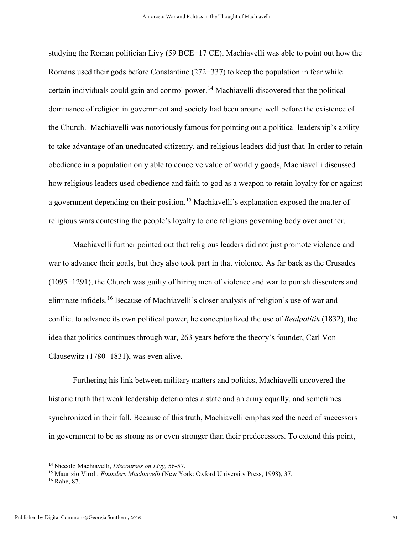studying the Roman politician Livy (59 BCE−17 CE), Machiavelli was able to point out how the Romans used their gods before Constantine (272−337) to keep the population in fear while certain individuals could gain and control power.<sup>[14](#page-7-1)</sup> Machiavelli discovered that the political dominance of religion in government and society had been around well before the existence of the Church. Machiavelli was notoriously famous for pointing out a political leadership's ability to take advantage of an uneducated citizenry, and religious leaders did just that. In order to retain obedience in a population only able to conceive value of worldly goods, Machiavelli discussed how religious leaders used obedience and faith to god as a weapon to retain loyalty for or against a government depending on their position.<sup>[15](#page-7-2)</sup> Machiavelli's explanation exposed the matter of religious wars contesting the people's loyalty to one religious governing body over another.

Machiavelli further pointed out that religious leaders did not just promote violence and war to advance their goals, but they also took part in that violence. As far back as the Crusades (1095−1291), the Church was guilty of hiring men of violence and war to punish dissenters and eliminate infidels.[16](#page-8-0) Because of Machiavelli's closer analysis of religion's use of war and conflict to advance its own political power, he conceptualized the use of *Realpolitik* (1832), the idea that politics continues through war, 263 years before the theory's founder, Carl Von Clausewitz (1780−1831), was even alive.

Furthering his link between military matters and politics, Machiavelli uncovered the historic truth that weak leadership deteriorates a state and an army equally, and sometimes synchronized in their fall. Because of this truth, Machiavelli emphasized the need of successors in government to be as strong as or even stronger than their predecessors. To extend this point,

<span id="page-7-2"></span><span id="page-7-1"></span><span id="page-7-0"></span><sup>&</sup>lt;sup>14</sup> Niccolò Machiavelli, *Discourses on Livy, 56-57*.<br><sup>15</sup> Maurizio Viroli, *Founders Machiavelli* (New York: Oxford University Press, 1998), 37.

<sup>16</sup> Rahe, 87.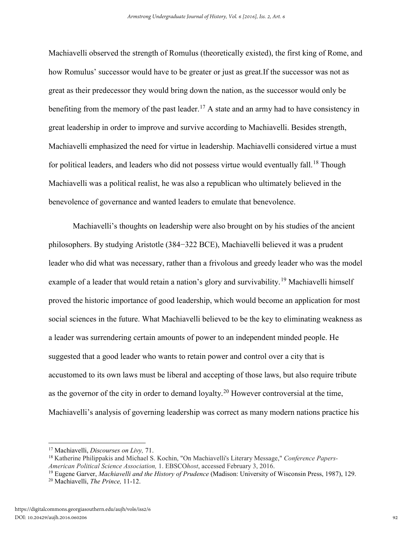Machiavelli observed the strength of Romulus (theoretically existed), the first king of Rome, and how Romulus' successor would have to be greater or just as great.If the successor was not as great as their predecessor they would bring down the nation, as the successor would only be benefiting from the memory of the past leader.<sup>17</sup> A state and an army had to have consistency in great leadership in order to improve and survive according to Machiavelli. Besides strength, Machiavelli emphasized the need for virtue in leadership. Machiavelli considered virtue a must for political leaders, and leaders who did not possess virtue would eventually fall.<sup>18</sup> Though Machiavelli was a political realist, he was also a republican who ultimately believed in the benevolence of governance and wanted leaders to emulate that benevolence.

Machiavelli's thoughts on leadership were also brought on by his studies of the ancient philosophers. By studying Aristotle (384−322 BCE), Machiavelli believed it was a prudent leader who did what was necessary, rather than a frivolous and greedy leader who was the model example of a leader that would retain a nation's glory and survivability.<sup>[19](#page-9-1)</sup> Machiavelli himself proved the historic importance of good leadership, which would become an application for most social sciences in the future. What Machiavelli believed to be the key to eliminating weakness as a leader was surrendering certain amounts of power to an independent minded people. He suggested that a good leader who wants to retain power and control over a city that is accustomed to its own laws must be liberal and accepting of those laws, but also require tribute as the governor of the city in order to demand loyalty.<sup>[20](#page-9-2)</sup> However controversial at the time, Machiavelli's analysis of governing leadership was correct as many modern nations practice his

l

<span id="page-8-0"></span><sup>&</sup>lt;sup>17</sup> Machiavelli, *Discourses on Livy*, 71.<br><sup>18</sup> Katherine Philippakis and Michael S. Kochin, "On Machiavelli's Literary Message," *Conference Papers-American Political Science Association,* 1. EBSCO*host*, accessed February 3, 2016.

<span id="page-8-1"></span><sup>19</sup> Eugene Garver, *Machiavelli and the History of Prudence* (Madison: University of Wisconsin Press, 1987), 129. <sup>20</sup> Machiavelli, *The Prince,* 11-12.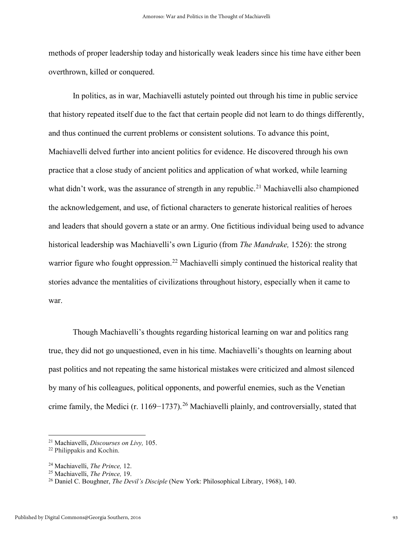methods of proper leadership today and historically weak leaders since his time have either been overthrown, killed or conquered.

In politics, as in war, Machiavelli astutely pointed out through his time in public service that history repeated itself due to the fact that certain people did not learn to do things differently, and thus continued the current problems or consistent solutions. To advance this point, Machiavelli delved further into ancient politics for evidence. He discovered through his own practice that a close study of ancient politics and application of what worked, while learning what didn't work, was the assurance of strength in any republic.<sup>[21](#page-10-0)</sup> Machiavelli also championed the acknowledgement, and use, of fictional characters to generate historical realities of heroes and leaders that should govern a state or an army. One fictitious individual being used to advance historical leadership was Machiavelli's own Ligurio (from *The Mandrake,* 1526): the strong warrior figure who fought oppression.<sup>[22](#page-10-1)</sup> Machiavelli simply continued the historical reality that stories advance the mentalities of civilizations throughout history, especially when it came to war.

[T](#page-10-2)hough Machiavelli's thoughts regarding historical learning on war and politics rang true, they did not go unquestioned, even in his time. Machiavelli's thoughts on learning about past politics and not repeating the same historical mistakes were criticized and almost silenced by many of his colleagues, political opponents, and powerful enemies, such as the Venetian crime family, the Medici (r. 1169−1737).[26](#page-10-2) Machiavelli plainly, and controversially, stated that

 $\overline{\phantom{a}}$ 

<span id="page-9-0"></span><sup>21</sup> Machiavelli, *Discourses on Livy,* 105.

<sup>22</sup> Philippakis and Kochin.

<span id="page-9-1"></span><sup>24</sup> Machiavelli, *The Prince,* 12.

<span id="page-9-2"></span><sup>&</sup>lt;sup>26</sup> Daniel C. Boughner, *The Devil's Disciple* (New York: Philosophical Library, 1968), 140.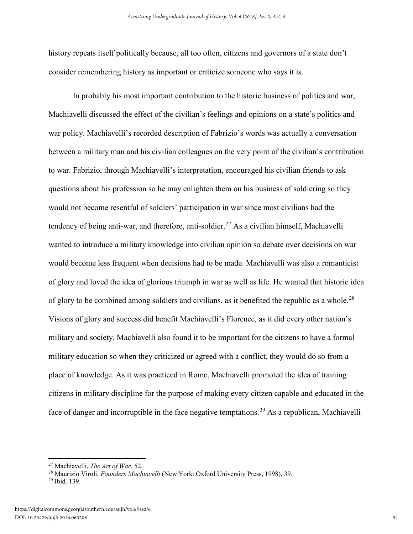<span id="page-10-2"></span>history repeats itself politically because, all too often, citizens and governors of a state don't consider remembering history as important or criticize someone who says it is.

In probably his most important contribution to the historic business of politics and war, Machiavelli discussed the effect of the civilian's feelings and opinions on a state's politics and war policy. Machiavelli's recorded description of Fabrizio's words was actually a conversation between a military man and his civilian colleagues on the very point of the civilian's contribution to war. Fabrizio, through Machiavelli's interpretation, encouraged his civilian friends to ask questions about his profession so he may enlighten them on his business of soldiering so they would not become resentful of soldiers' participation in war since most civilians had the tendency of being anti-war, and therefore, anti-soldier.<sup>[27](#page-11-0)</sup> As a civilian himself, Machiavelli wanted to introduce a military knowledge into civilian opinion so debate over decisions on war would become less frequent when decisions had to be made. Machiavelli was also a romanticist of glory and loved the idea of glorious triumph in war as well as life. He wanted that historic idea of glory to be combined among soldiers and civilians, as it benefited the republic as a whole.<sup>[28](#page-11-1)</sup> Visions of glory and success did benefit Machiavelli's Florence, as it did every other nation's military and society. Machiavelli also found it to be important for the citizens to have a formal military education so when they criticized or agreed with a conflict, they would do so from a place of knowledge. As it was practiced in Rome, Machiavelli promoted the idea of training citizens in military discipline for the purpose of making every citizen capable and educated in the face of danger and incorruptible in the face negative temptations.<sup>[29](#page-12-0)</sup> As a republican, Machiavelli

<span id="page-10-0"></span> $\overline{\phantom{a}}$ 

<span id="page-10-1"></span><sup>27</sup> Machiavelli, *The Art of War,* 52.

<sup>&</sup>lt;sup>28</sup> Maurizio Viroli, *Founders Machiavelli* (New York: Oxford University Press, 1998), 39.<br><sup>29</sup> Ibid. 139.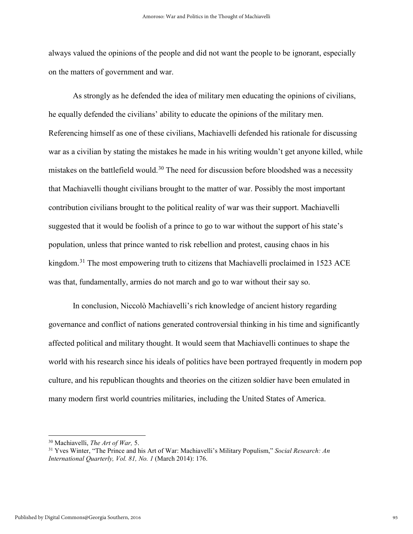always valued the opinions of the people and did not want the people to be ignorant, especially on the matters of government and war.

As strongly as he defended the idea of military men educating the opinions of civilians, he equally defended the civilians' ability to educate the opinions of the military men. Referencing himself as one of these civilians, Machiavelli defended his rationale for discussing war as a civilian by stating the mistakes he made in his writing wouldn't get anyone killed, while mistakes on the battlefield would.<sup>[30](#page-12-1)</sup> The need for discussion before bloodshed was a necessity that Machiavelli thought civilians brought to the matter of war. Possibly the most important contribution civilians brought to the political reality of war was their support. Machiavelli suggested that it would be foolish of a prince to go to war without the support of his state's population, unless that prince wanted to risk rebellion and protest, causing chaos in his kingdom.<sup>[31](#page-12-2)</sup> The most empowering truth to citizens that Machiavelli proclaimed in 1523 ACE was that, fundamentally, armies do not march and go to war without their say so.

In conclusion, Niccolò Machiavelli's rich knowledge of ancient history regarding governance and conflict of nations generated controversial thinking in his time and significantly affected political and military thought. It would seem that Machiavelli continues to shape the world with his research since his ideals of politics have been portrayed frequently in modern pop culture, and his republican thoughts and theories on the citizen soldier have been emulated in many modern first world countries militaries, including the United States of America.

<sup>30</sup> Machiavelli, *The Art of War,* 5.

<span id="page-11-1"></span><span id="page-11-0"></span><sup>31</sup> Yves Winter, "The Prince and his Art of War: Machiavelli's Military Populism," *Social Research: An International Quarterly, Vol. 81, No. 1* (March 2014): 176.